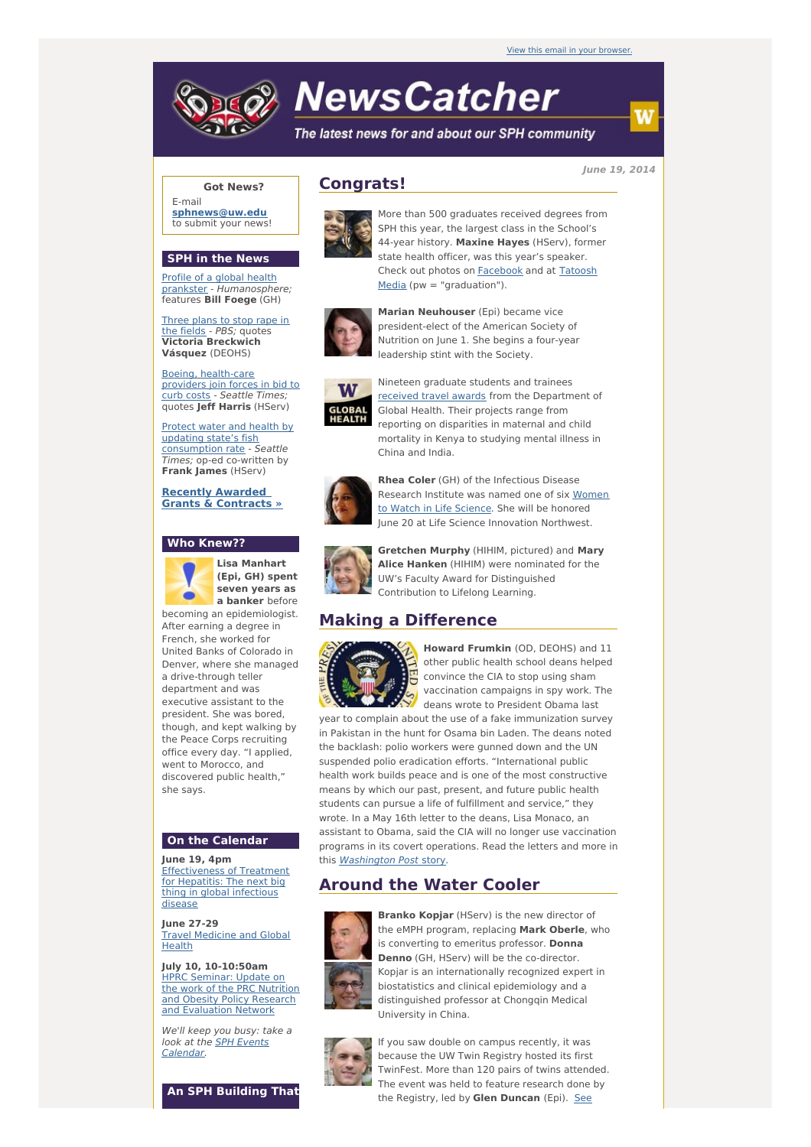# **NewsCatcher**

The latest news for and about our SPH community

**June 19, 2014**

# **Got News?**

E-mail **[sphnews@uw.edu](mailto:sphnews@uw.edu)** to submit your news!

### **SPH in the News**

Profile of a global health prankster - [Humanosphe](http://engage.washington.edu/site/R?i=ZRabElJgQv4mmnX1xIrVkw)re; features **Bill Foege** (GH)

Three plans to stop rape in the fields - PBS; [quotes](http://engage.washington.edu/site/R?i=i1YHL6_BqSk1lCtxt2w1IA) **Victoria Breckwich Vásquez** (DEOHS)

Boeing, [health-care](http://engage.washington.edu/site/R?i=5ZGdyi-eMnZMTmo8WjhBHw) providers join forces in bid to curb costs - Seattle Times; quotes **Jeff Harris** (HServ)

Protect water and health by updating state's fish [consumption](http://engage.washington.edu/site/R?i=rtd6_8vZLqNeo_cQU1Ldow) rate - Seattle Times; op-ed co-written by **Frank James** (HServ)

**Recently Awarded Grants & [Contracts](http://engage.washington.edu/site/R?i=xw7P0-zXRVYM5gnH18PVew) »**

#### **Who Knew??**



**Lisa Manhart (Epi, GH) spent seven years as a banker** before

becoming an epidemiologist. After earning a degree in French, she worked for United Banks of Colorado in Denver, where she managed a drive-through teller department and was executive assistant to the president. She was bored, though, and kept walking by the Peace Corps recruiting office every day. "I applied, went to Morocco, and discovered public health," she says.

#### **On the Calendar**

**June 19, 4pm** [Effectiveness](http://engage.washington.edu/site/R?i=vS6EpxDcjnuIndPQAZ1Fzw) of Treatment for Hepatitis: The next big thing in global infectious disease

**June 27-29 Travel [Medicine](http://engage.washington.edu/site/R?i=zxiVDweZLlhzfV7DFBAiXg) and Global** Health

**July 10, 10-10:50am** HPRC Seminar: Update on the work of the PRC Nutrition and Obesity Policy Research and [Evaluation](http://engage.washington.edu/site/R?i=usqIdmdeviWYMZdc4tejZg) Network

We'll keep you busy: take a look at the **SPH Events** [Calendar.](http://engage.washington.edu/site/R?i=BO0vRF6euvU8Tes_vmFKdg)







More than 500 graduates received degrees from SPH this year, the largest class in the School's 44-year history. **Maxine Hayes** (HServ), former state health officer, was this year's speaker. Check out photos on [Facebook](http://engage.washington.edu/site/R?i=yYEfJ7r9v7KRz2qzDKK9eg) and at Tatoosh Media (pw = ["graduation"\).](http://engage.washington.edu/site/R?i=gcWYML2ypFAEJXRWR0X5zg)



**Marian Neuhouser** (Epi) became vice president-elect of the American Society of Nutrition on June 1. She begins a four-year leadership stint with the Society.



Nineteen graduate students and trainees [received](http://engage.washington.edu/site/R?i=TWGAIOjC7tsN-xCmnGW3gA) travel awards from the Department of Global Health. Their projects range from reporting on disparities in maternal and child mortality in Kenya to studying mental illness in China and India.



**Rhea Coler** (GH) of the Infectious Disease [Research](http://engage.washington.edu/site/R?i=nligwgZXf3pzNo4dbf1cIg) Institute was named one of six Women to Watch in Life Science. She will be honored June 20 at Life Science Innovation Northwest.



**Gretchen Murphy** (HIHIM, pictured) and **Mary Alice Hanken** (HIHIM) were nominated for the UW's Faculty Award for Distinguished Contribution to Lifelong Learning.

# **Making a Difference**



**Howard Frumkin** (OD, DEOHS) and 11 other public health school deans helped convince the CIA to stop using sham vaccination campaigns in spy work. The deans wrote to President Obama last

year to complain about the use of a fake immunization survey in Pakistan in the hunt for Osama bin Laden. The deans noted the backlash: polio workers were gunned down and the UN suspended polio eradication efforts. "International public health work builds peace and is one of the most constructive means by which our past, present, and future public health students can pursue a life of fulfillment and service," they wrote. In a May 16th letter to the deans, Lisa Monaco, an assistant to Obama, said the CIA will no longer use vaccination programs in its covert operations. Read the letters and more in this [Washington](http://engage.washington.edu/site/R?i=u1RNxvMy9vHhmlks5MHeEg) Post story.

# **Around the Water Cooler**



**Branko Kopjar** (HServ) is the new director of the eMPH program, replacing **Mark Oberle**, who is converting to emeritus professor. **Donna Denno** (GH, HServ) will be the co-director. Kopjar is an internationally recognized expert in biostatistics and clinical epidemiology and a distinguished professor at Chongqin Medical University in China.



If you saw double on campus recently, it was because the UW Twin Registry hosted its first TwinFest. More than 120 pairs of twins attended. The event was held to feature research done by the [Registry,](http://engage.washington.edu/site/R?i=MEOJ3LmUIdBZxomaojQaSA) led by **Glen Duncan** (Epi). See